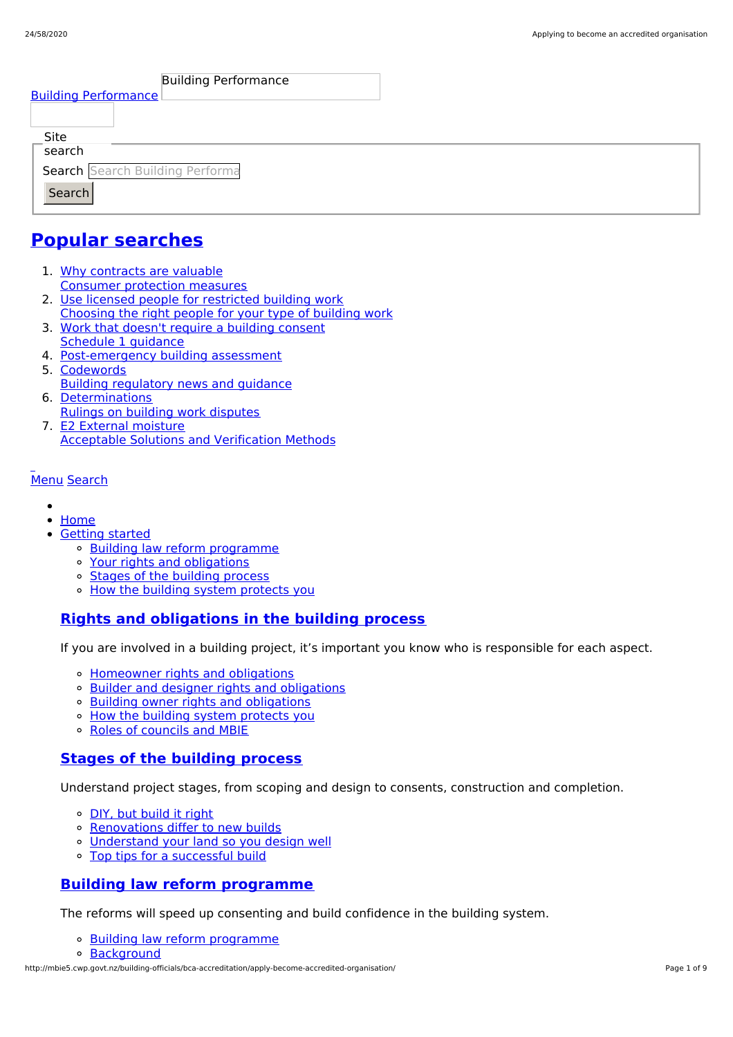| Search Search Building Performa |  |  |  |  |
|---------------------------------|--|--|--|--|
|                                 |  |  |  |  |
|                                 |  |  |  |  |

## **Popular [searches](http://mbie5.cwp.govt.nz/#)**

- 1. Why contracts are valuable Consumer protection measures
- 2. Use licensed people for restricted building work Choosing the right people for your type of building work
- 3. Work that doesn't require a building consent Schedule 1 guidance
- 4. Post-emergency building assessment
- 5. Codewords Building regulatory news and guidance
- 6. Determinations Rulings on building work disputes
- 7. E2 External moisture Acceptable Solutions and Verification Methods

### [Menu](http://mbie5.cwp.govt.nz/#) [Search](http://mbie5.cwp.govt.nz/#)

- $\bullet$
- [Home](http://mbie5.cwp.govt.nz/)
- [Getting](http://mbie5.cwp.govt.nz/getting-started/) started
	- o Building law reform [programme](http://mbie5.cwp.govt.nz/getting-started/building-law-reforms/)
	- Your rights and [obligations](http://mbie5.cwp.govt.nz/getting-started/your-rights-and-obligations/)
	- Stages of the [building](http://mbie5.cwp.govt.nz/getting-started/stages-of-the-building-process/) process
	- o How the building system [protects](http://mbie5.cwp.govt.nz/getting-started/how-the-building-system-protects-you/) you

## **Rights and [obligations](http://mbie5.cwp.govt.nz/getting-started/your-rights-and-obligations/) in the building process**

If you are involved in a building project, it's important you know who is responsible for each aspect.

- [Homeowner](http://mbie5.cwp.govt.nz/getting-started/your-rights-and-obligations/homeowner-rights-and-obligations/) rights and obligations
- o Builder and designer rights and [obligations](http://mbie5.cwp.govt.nz/getting-started/your-rights-and-obligations/builder-and-designer-rights-and-obligations/)
- o Building owner rights and [obligations](http://mbie5.cwp.govt.nz/getting-started/your-rights-and-obligations/building-owner-rights-and-obligations/)
- o How the building system [protects](http://mbie5.cwp.govt.nz/getting-started/how-the-building-system-protects-you/) you
- Roles of [councils](http://mbie5.cwp.govt.nz/getting-started/how-the-building-system-protects-you/roles-of-councils-and-mbie/) and MBIE

### **Stages of the [building](http://mbie5.cwp.govt.nz/getting-started/stages-of-the-building-process/) process**

Understand project stages, from scoping and design to consents, construction and completion.

- o DIY, but [build](http://mbie5.cwp.govt.nz/getting-started/stages-of-the-building-process/diy-but-build-it-right/) it right
- o [Renovations](http://mbie5.cwp.govt.nz/getting-started/stages-of-the-building-process/renovations-differ-to-new-builds/) differ to new builds
- [Understand](http://mbie5.cwp.govt.nz/getting-started/stages-of-the-building-process/understand-your-land/) your land so you design well
- o Top tips for a [successful](http://mbie5.cwp.govt.nz/getting-started/stages-of-the-building-process/top-tips-for-building/) build

### **Building law reform [programme](http://mbie5.cwp.govt.nz/getting-started/building-law-reforms/)**

The reforms will speed up consenting and build confidence in the building system.

- Building law reform [programme](http://mbie5.cwp.govt.nz/getting-started/building-law-reforms/)
- [Background](http://mbie5.cwp.govt.nz/getting-started/building-law-reforms/background-to-the-building-law-reforms/)

http://mbie5.cwp.govt.nz/building-officials/bca-accreditation/apply-become-accredited-organisation/ Page 1 of 9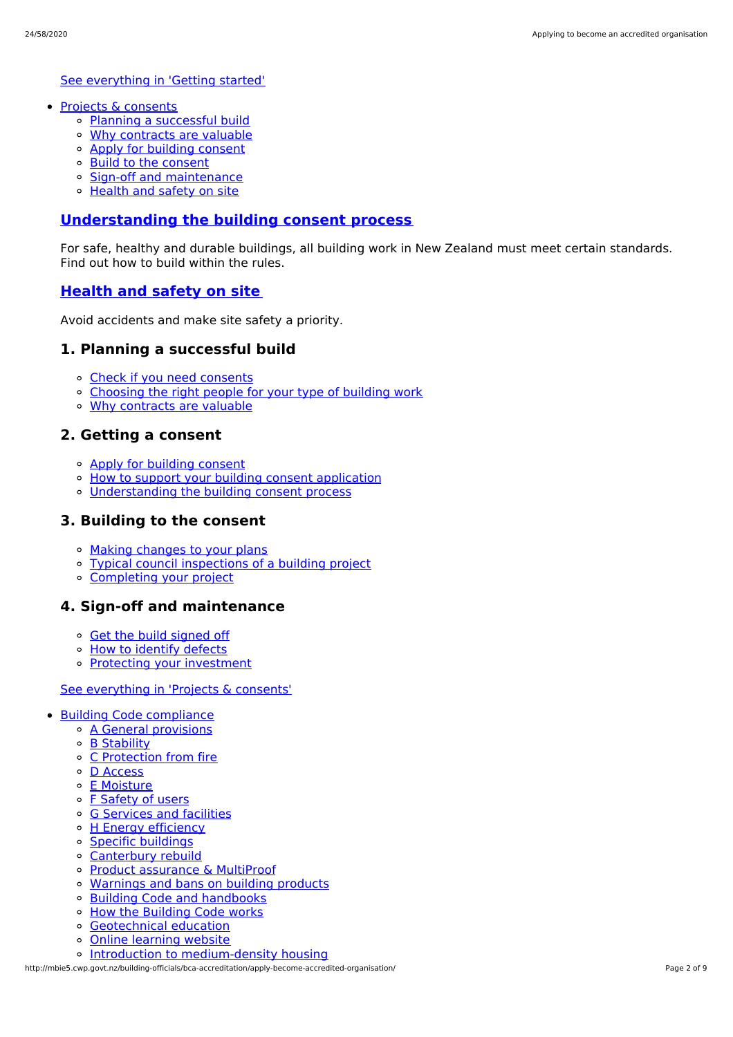See [everything](http://mbie5.cwp.govt.nz/getting-started/) in 'Getting started'

- Projects & [consents](http://mbie5.cwp.govt.nz/projects-and-consents/)
	- Planning a [successful](http://mbie5.cwp.govt.nz/projects-and-consents/planning-a-successful-build/) build
	- Why [contracts](http://mbie5.cwp.govt.nz/projects-and-consents/why-contracts-are-valuable/) are valuable
	- Apply for [building](http://mbie5.cwp.govt.nz/projects-and-consents/apply-for-building-consent/) consent
	- Build to the [consent](http://mbie5.cwp.govt.nz/projects-and-consents/build-to-the-consent/)
	- Sign-off and [maintenance](http://mbie5.cwp.govt.nz/projects-and-consents/sign-off-and-maintenance/)
	- [Health](http://mbie5.cwp.govt.nz/projects-and-consents/health-and-safety-on-site/) and safety on site

### **[Understanding](http://mbie5.cwp.govt.nz/projects-and-consents/apply-for-building-consent/building-consent-process/) the building consent process**

For safe, healthy and durable buildings, all building work in New Zealand must meet certain standards. Find out how to build within the rules.

### **[Health](http://mbie5.cwp.govt.nz/projects-and-consents/health-and-safety-on-site/) and safety on site**

Avoid accidents and make site safety a priority.

### **1. Planning a successful build**

- Check if you need [consents](http://mbie5.cwp.govt.nz/projects-and-consents/planning-a-successful-build/scope-and-design/check-if-you-need-consents/)
- o [Choosing](http://mbie5.cwp.govt.nz/projects-and-consents/planning-a-successful-build/scope-and-design/choosing-the-right-people-for-your-type-of-building-work/) the right people for your type of building work
- Why [contracts](http://mbie5.cwp.govt.nz/projects-and-consents/why-contracts-are-valuable/) are valuable

### **2. Getting a consent**

- Apply for [building](http://mbie5.cwp.govt.nz/projects-and-consents/apply-for-building-consent/) consent
- o How to support your building consent [application](http://mbie5.cwp.govt.nz/projects-and-consents/apply-for-building-consent/support-your-consent-application/)
- [Understanding](http://mbie5.cwp.govt.nz/projects-and-consents/apply-for-building-consent/building-consent-process/) the building consent process

### **3. Building to the consent**

- Making [changes](http://mbie5.cwp.govt.nz/projects-and-consents/build-to-the-consent/making-changes-to-your-plans/) to your plans
- Typical council [inspections](http://mbie5.cwp.govt.nz/projects-and-consents/build-to-the-consent/typical-council-inspections/) of a building project
- [Completing](http://mbie5.cwp.govt.nz/projects-and-consents/sign-off-and-maintenance/completing-your-project/) your project

### **4. Sign-off and maintenance**

- Get the build [signed](http://mbie5.cwp.govt.nz/projects-and-consents/sign-off-and-maintenance/completing-your-project/get-the-build-signed-off/) off
- <sup>o</sup> How to [identify](http://mbie5.cwp.govt.nz/projects-and-consents/sign-off-and-maintenance/completing-your-project/how-to-identify-defects/) defects
- Protecting your [investment](http://mbie5.cwp.govt.nz/projects-and-consents/sign-off-and-maintenance/protecting-your-investment/)

#### See [everything](http://mbie5.cwp.govt.nz/projects-and-consents/) in 'Projects & consents'

- Building Code [compliance](http://mbie5.cwp.govt.nz/building-code-compliance/)
	- A General [provisions](http://mbie5.cwp.govt.nz/building-code-compliance/a-general-provisions/)
	- B [Stability](http://mbie5.cwp.govt.nz/building-code-compliance/b-stability/)
	- C [Protection](http://mbie5.cwp.govt.nz/building-code-compliance/c-protection-from-fire/) from fire
	- D [Access](http://mbie5.cwp.govt.nz/building-code-compliance/d-access/)
	- E [Moisture](http://mbie5.cwp.govt.nz/building-code-compliance/e-moisture/)
	- o F [Safety](http://mbie5.cwp.govt.nz/building-code-compliance/f-safety-of-users/) of users
	- o G [Services](http://mbie5.cwp.govt.nz/building-code-compliance/g-services-and-facilities/) and facilities
	- o H Energy [efficiency](http://mbie5.cwp.govt.nz/building-code-compliance/h-energy-efficiency/)
	- Specific [buildings](http://mbie5.cwp.govt.nz/building-code-compliance/specific-buildings/)
	- [Canterbury](http://mbie5.cwp.govt.nz/building-code-compliance/canterbury-rebuild/) rebuild
	- Product [assurance](http://mbie5.cwp.govt.nz/building-code-compliance/product-assurance-and-multiproof/) & MultiProof
	- [Warnings](http://mbie5.cwp.govt.nz/building-code-compliance/warnings-and-bans-on-building-products/) and bans on building products
	- Building Code and [handbooks](http://mbie5.cwp.govt.nz/building-code-compliance/building-code-and-handbooks/)
	- How the [Building](http://mbie5.cwp.govt.nz/building-code-compliance/how-the-building-code-works/) Code works
	- [Geotechnical](http://mbie5.cwp.govt.nz/building-code-compliance/geotechnical-education/) education
	- Online [learning](http://mbie5.cwp.govt.nz/building-code-compliance/online-learning/) website
	- o Introduction to [medium-density](http://mbie5.cwp.govt.nz/building-code-compliance/introduction-to-medium-density-housing/) housing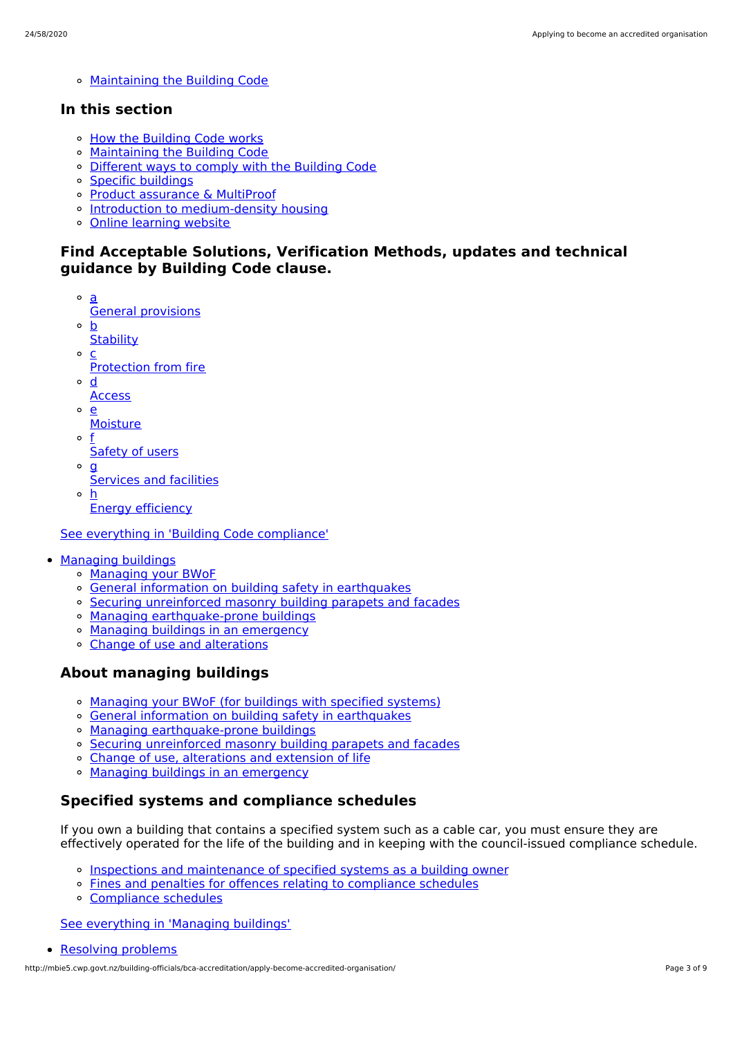[Maintaining](http://mbie5.cwp.govt.nz/building-code-compliance/annual-building-code-updates/) the Building Code

### **In this section**

- o How the [Building](http://mbie5.cwp.govt.nz/building-code-compliance/how-the-building-code-works/) Code works
- [Maintaining](http://mbie5.cwp.govt.nz/building-code-compliance/annual-building-code-updates/) the Building Code
- [Different](http://mbie5.cwp.govt.nz/building-code-compliance/how-the-building-code-works/different-ways-to-comply/) ways to comply with the Building Code
- Specific [buildings](http://mbie5.cwp.govt.nz/building-code-compliance/specific-buildings/)
- Product [assurance](http://mbie5.cwp.govt.nz/building-code-compliance/product-assurance-and-multiproof/) & MultiProof
- o Introduction to [medium-density](http://mbie5.cwp.govt.nz/building-code-compliance/introduction-to-medium-density-housing/) housing
- Online [learning](http://mbie5.cwp.govt.nz/building-code-compliance/online-learning/) website

### **Find Acceptable Solutions, Verification Methods, updates and technical guidance by Building Code clause.**

- a General provisions
- $\circ$ b
- **Stability**  $\circ$
- c Protection from fire
- $\circ$ d
- **Access**
- $\Omega$ e
	- **Moisture**
- o f Safety of users
- 
- $\circ$  **g** 
	- Services and facilities
- h Energy efficiency

See everything in 'Building Code [compliance'](http://mbie5.cwp.govt.nz/building-code-compliance/)

- [Managing](http://mbie5.cwp.govt.nz/managing-buildings/) buildings
	- [Managing](http://mbie5.cwp.govt.nz/managing-buildings/managing-your-bwof/) your BWoF
	- General information on building safety in [earthquakes](http://mbie5.cwp.govt.nz/managing-buildings/building-safety-in-earthquakes/)
	- Securing [unreinforced](http://mbie5.cwp.govt.nz/managing-buildings/unreinforced-masonry/) masonry building parapets and facades
	- o Managing [earthquake-prone](http://mbie5.cwp.govt.nz/managing-buildings/managing-earthquake-prone-buildings/) buildings
	- Managing buildings in an [emergency](http://mbie5.cwp.govt.nz/managing-buildings/managing-buildings-in-an-emergency/)
	- Change of use and [alterations](http://mbie5.cwp.govt.nz/managing-buildings/change-of-use-and-alterations/)

## **About managing buildings**

- [Managing](http://mbie5.cwp.govt.nz/managing-buildings/managing-your-bwof/) your BWoF (for buildings with specified systems)
- General information on building safety in [earthquakes](http://mbie5.cwp.govt.nz/managing-buildings/building-safety-in-earthquakes/)
- Managing [earthquake-prone](http://mbie5.cwp.govt.nz/managing-buildings/managing-earthquake-prone-buildings/) buildings
- Securing [unreinforced](http://mbie5.cwp.govt.nz/managing-buildings/unreinforced-masonry/) masonry building parapets and facades
- o Change of use, [alterations](http://mbie5.cwp.govt.nz/managing-buildings/change-of-use-and-alterations/) and extension of life
- o Managing buildings in an [emergency](http://mbie5.cwp.govt.nz/managing-buildings/managing-buildings-in-an-emergency/)

## **Specified systems and compliance schedules**

If you own a building that contains a specified system such as a cable car, you must ensure they are effectively operated for the life of the building and in keeping with the council-issued compliance schedule.

- Inspections and [maintenance](http://mbie5.cwp.govt.nz/managing-buildings/managing-your-bwof/inspections-and-maintenance/) of specified systems as a building owner
- Fines and penalties for offences relating to [compliance](http://mbie5.cwp.govt.nz/managing-buildings/managing-your-bwof/fines-and-penalties/) schedules
- [Compliance](http://mbie5.cwp.govt.nz/projects-and-consents/sign-off-and-maintenance/completing-your-project/compliance-schedules/) schedules

See [everything](http://mbie5.cwp.govt.nz/managing-buildings/) in 'Managing buildings'

```
Resolving problems
```
http://mbie5.cwp.govt.nz/building-officials/bca-accreditation/apply-become-accredited-organisation/ Page 3 of 9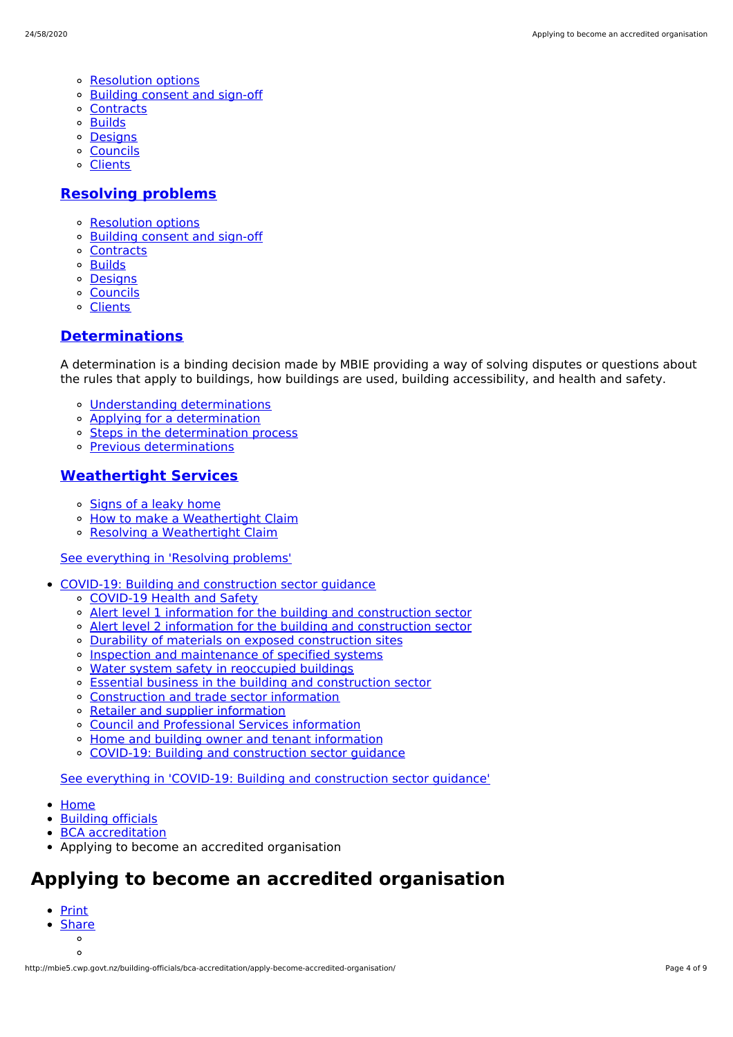- [Resolution](http://mbie5.cwp.govt.nz/resolving-problems/resolution-options/) options
- [Building](http://mbie5.cwp.govt.nz/resolving-problems/building-consent-and-sign-off/) consent and sign-off
- [Contracts](http://mbie5.cwp.govt.nz/resolving-problems/contracts/)
- [Builds](http://mbie5.cwp.govt.nz/resolving-problems/builds/)
- [Designs](http://mbie5.cwp.govt.nz/resolving-problems/designs/)
- **[Councils](http://mbie5.cwp.govt.nz/resolving-problems/councils/)**  $\circ$
- [Clients](http://mbie5.cwp.govt.nz/resolving-problems/clients/)

### **[Resolving](http://mbie5.cwp.govt.nz/resolving-problems/) problems**

- [Resolution](http://mbie5.cwp.govt.nz/resolving-problems/resolution-options/) options
- [Building](http://mbie5.cwp.govt.nz/resolving-problems/building-consent-and-sign-off/) consent and sign-off
- [Contracts](http://mbie5.cwp.govt.nz/resolving-problems/contracts/)
- **o** [Builds](http://mbie5.cwp.govt.nz/resolving-problems/builds/)
- [Designs](http://mbie5.cwp.govt.nz/resolving-problems/designs/)
- [Councils](http://mbie5.cwp.govt.nz/resolving-problems/councils/)
- [Clients](http://mbie5.cwp.govt.nz/resolving-problems/clients/)

### **[Determinations](http://mbie5.cwp.govt.nz/resolving-problems/resolution-options/determinations/)**

A determination is a binding decision made by MBIE providing a way of solving disputes or questions about the rules that apply to buildings, how buildings are used, building accessibility, and health and safety.

- Understanding [determinations](http://mbie5.cwp.govt.nz/resolving-problems/resolution-options/determinations/)
- Applying for a [determination](http://mbie5.cwp.govt.nz/resolving-problems/resolution-options/determinations/applying-for-a-determination/)
- o Steps in the [determination](http://mbie5.cwp.govt.nz/resolving-problems/resolution-options/determinations/steps-in-the-determination-process/) process
- Previous [determinations](http://mbie5.cwp.govt.nz/resolving-problems/resolution-options/determinations/determinations-issued/)

### **[Weathertight](http://mbie5.cwp.govt.nz/resolving-problems/resolution-options/weathertight-services/) Services**

- o [Signs](http://mbie5.cwp.govt.nz/resolving-problems/resolution-options/weathertight-services/signs-of-a-leaky-home/) of a leaky home
- How to make a [Weathertight](http://mbie5.cwp.govt.nz/resolving-problems/resolution-options/weathertight-services/make-a-weathertight-home-claim/) Claim  $\circ$
- Resolving a [Weathertight](http://mbie5.cwp.govt.nz/resolving-problems/resolution-options/weathertight-services/resolving-a-claim/) Claim

### See [everything](http://mbie5.cwp.govt.nz/resolving-problems/) in 'Resolving problems'

- COVID-19: Building and [construction](http://mbie5.cwp.govt.nz/covid-19/) sector guidance
	- [COVID-19](http://mbie5.cwp.govt.nz/covid-19/health-and-safety/) Health and Safety
	- Alert level 1 information for the building and [construction](http://mbie5.cwp.govt.nz/covid-19/alert-level-1-information-for-the-building-and-construction-sector/) sector
	- Alert level 2 information for the building and [construction](http://mbie5.cwp.govt.nz/covid-19/alert-level-2-information-for-the-building-and-construction-sector/) sector
	- Durability of materials on exposed [construction](http://mbie5.cwp.govt.nz/covid-19/durability-of-materials-on-exposed-construction-sites/) sites
	- o Inspection and [maintenance](http://mbie5.cwp.govt.nz/covid-19/inspection-and-maintenance-of-specified-systems/) of specified systems
	- o Water system safety in [reoccupied](http://mbie5.cwp.govt.nz/covid-19/water-system-safety-in-reoccupied-buildings/) buildings
	- Essential business in the building and [construction](http://mbie5.cwp.govt.nz/covid-19/essential-business/) sector
	- [Construction](http://mbie5.cwp.govt.nz/covid-19/construction-and-trade-sector-information/) and trade sector information
	- Retailer and supplier [information](http://mbie5.cwp.govt.nz/covid-19/retailer-and-supplier-information/)
	- Council and [Professional](http://mbie5.cwp.govt.nz/covid-19/council-and-professional-services-information/) Services information
	- Home and building owner and tenant [information](http://mbie5.cwp.govt.nz/covid-19/home-and-building-owner-and-tenant-information/)
	- COVID-19: Building and [construction](http://mbie5.cwp.govt.nz/covid-19/) sector guidance  $\alpha$

See everything in 'COVID-19: Building and [construction](http://mbie5.cwp.govt.nz/covid-19/) sector guidance'

- [Home](http://mbie5.cwp.govt.nz/)
- [Building](http://mbie5.cwp.govt.nz/building-officials/) officials  $\bullet$
- BCA [accreditation](http://mbie5.cwp.govt.nz/building-officials/bca-accreditation/)
- Applying to become an accredited organisation

# **Applying to become an accredited organisation**

- **[Print](http://mbie5.cwp.govt.nz/#)** 
	- **[Share](http://mbie5.cwp.govt.nz/#)**  $\circ$
	- $\circ$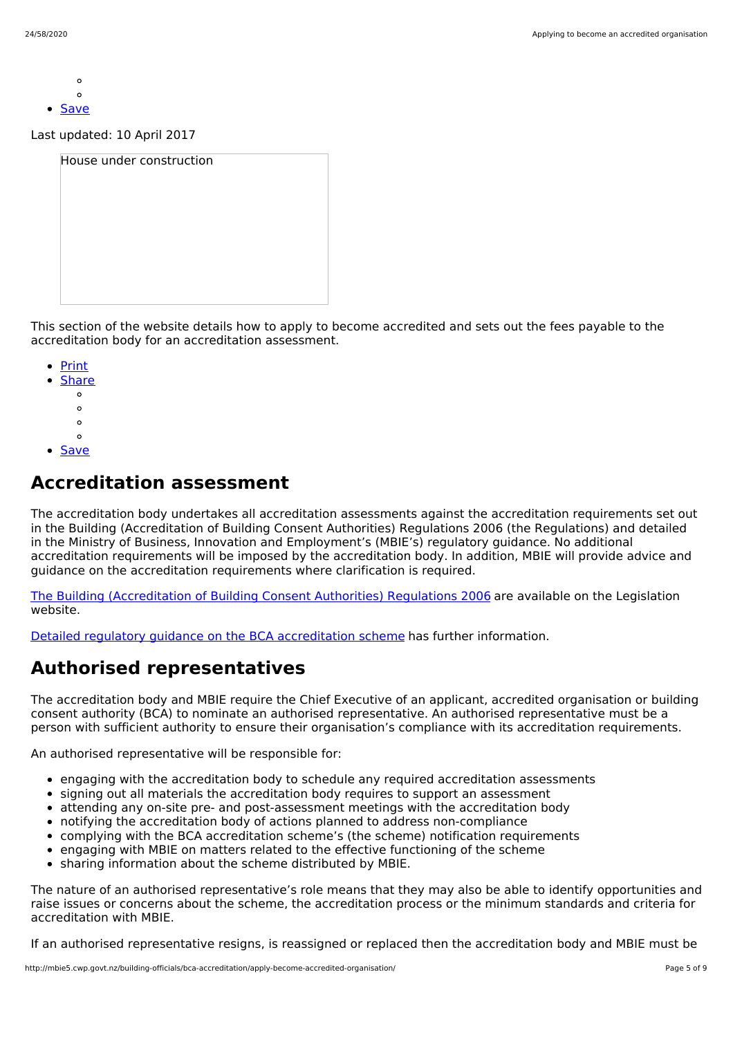- $\circ$  $\Omega$
- [Save](http://mbie5.cwp.govt.nz/building-officials/bca-accreditation/apply-become-accredited-organisation/downloadpdf)

Last updated: 10 April 2017

| House under construction |  |
|--------------------------|--|
|                          |  |
|                          |  |
|                          |  |
|                          |  |
|                          |  |

This section of the website details how to apply to become accredited and sets out the fees payable to the accreditation body for an accreditation assessment.

- [Print](http://mbie5.cwp.govt.nz/#)
- **[Share](http://mbie5.cwp.govt.nz/#)** 
	- $\circ$
	- $\circ$
	- $\circ$
	- $\circ$
- [Save](http://mbie5.cwp.govt.nz/building-officials/bca-accreditation/apply-become-accredited-organisation/downloadpdf)

# **Accreditation assessment**

The accreditation body undertakes all accreditation assessments against the accreditation requirements set out in the Building (Accreditation of Building Consent Authorities) Regulations 2006 (the Regulations) and detailed in the Ministry of Business, Innovation and Employment's (MBIE's) regulatory guidance. No additional accreditation requirements will be imposed by the accreditation body. In addition, MBIE will provide advice and guidance on the accreditation requirements where clarification is required.

The Building [\(Accreditation](http://www.legislation.govt.nz/regulation/public/2006/0399/latest/DLM424665.html) of Building Consent Authorities) Regulations 2006 are available on the Legislation website.

Detailed regulatory guidance on the BCA [accreditation](http://mbie5.cwp.govt.nz/building-officials/bca-accreditation/detailed-regulatory-guidance/) scheme has further information.

# **Authorised representatives**

The accreditation body and MBIE require the Chief Executive of an applicant, accredited organisation or building consent authority (BCA) to nominate an authorised representative. An authorised representative must be a person with sufficient authority to ensure their organisation's compliance with its accreditation requirements.

An authorised representative will be responsible for:

- engaging with the accreditation body to schedule any required accreditation assessments
- signing out all materials the accreditation body requires to support an assessment
- attending any on-site pre- and post-assessment meetings with the accreditation body
- notifying the accreditation body of actions planned to address non-compliance
- complying with the BCA accreditation scheme's (the scheme) notification requirements  $\bullet$
- engaging with MBIE on matters related to the effective functioning of the scheme  $\bullet$
- sharing information about the scheme distributed by MBIE.  $\bullet$

The nature of an authorised representative's role means that they may also be able to identify opportunities and raise issues or concerns about the scheme, the accreditation process or the minimum standards and criteria for accreditation with MBIE.

If an authorised representative resigns, is reassigned or replaced then the accreditation body and MBIE must be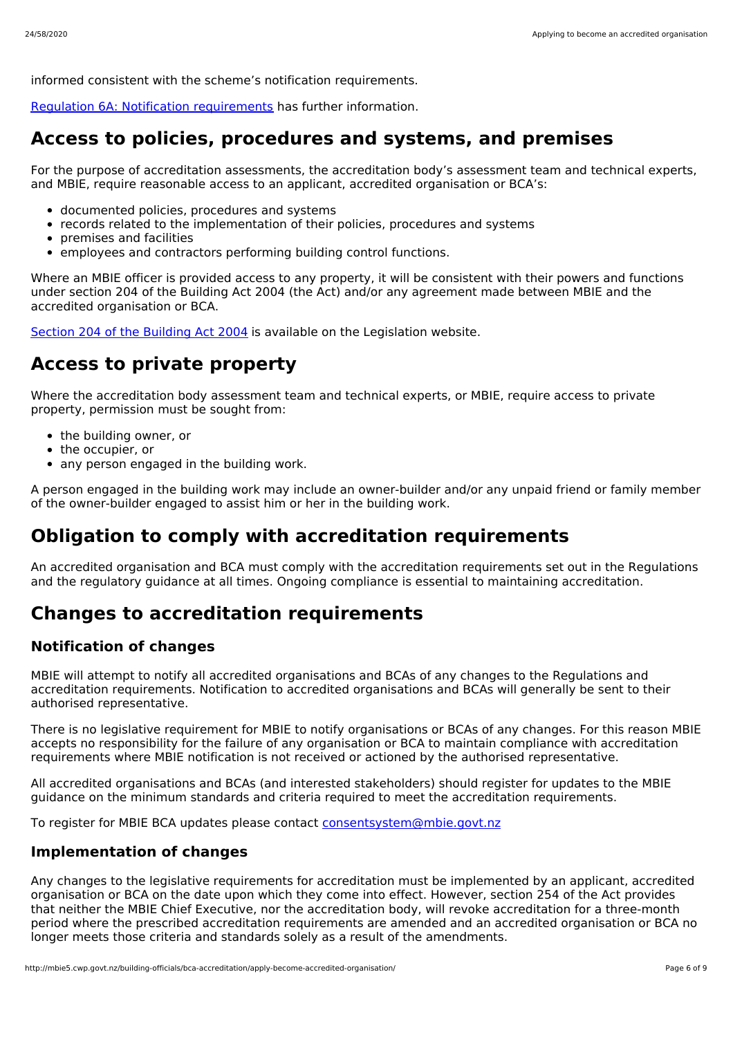informed consistent with the scheme's notification requirements.

[Regulation](http://mbie5.cwp.govt.nz/building-officials/bca-accreditation/detailed-regulatory-guidance/6a-notification-requirements/) 6A: Notification [requirements](http://mbie5.cwp.govt.nz/building-officials/bca-accreditation/detailed-regulatory-guidance/6a-notification-requirements/) has further information.

# **Access to policies, procedures and systems, and premises**

For the purpose of accreditation assessments, the accreditation body's assessment team and technical experts, and MBIE. require reasonable access to an applicant, accredited organisation or BCA's:

- documented policies, procedures and systems
- records related to the implementation of their policies, procedures and systems
- premises and facilities
- employees and contractors performing building control functions.

Where an MBIE officer is provided access to any property, it will be consistent with their powers and functions under section 204 of the Building Act 2004 (the Act) and/or any agreement made between MBIE and the accredited organisation or BCA.

Section 204 of the [Building](http://www.legislation.govt.nz/act/public/2004/0072/latest/DLM307842.html?search=sw_096be8ed80ff3936_warrant_25_se&p=1) Act 2004 is available on the Legislation website.

# **Access to private property**

Where the accreditation body assessment team and technical experts, or MBIE, require access to private property, permission must be sought from:

- the building owner, or
- the occupier, or
- any person engaged in the building work.

A person engaged in the building work may include an owner-builder and/or any unpaid friend or family member of the owner-builder engaged to assist him or her in the building work.

# **Obligation to comply with accreditation requirements**

An accredited organisation and BCA must comply with the accreditation requirements set out in the Regulations and the regulatory guidance at all times. Ongoing compliance is essential to maintaining accreditation.

## **Changes to accreditation requirements**

## **Notification of changes**

MBIE will attempt to notify all accredited organisations and BCAs of any changes to the Regulations and accreditation requirements. Notification to accredited organisations and BCAs will generally be sent to their authorised representative.

There is no legislative requirement for MBIE to notify organisations or BCAs of any changes. For this reason MBIE accepts no responsibility for the failure of any organisation or BCA to maintain compliance with accreditation requirements where MBIE notification is not received or actioned by the authorised representative.

All accredited organisations and BCAs (and interested stakeholders) should register for updates to the MBIE guidance on the minimum standards and criteria required to meet the accreditation requirements.

To register for MBIE BCA updates please contact [consentsystem@mbie.govt.nz](mailto:consentsystem@mbie.govt.nz)

## **Implementation of changes**

Any changes to the legislative requirements for accreditation must be implemented by an applicant, accredited organisation or BCA on the date upon which they come into effect. However, section 254 of the Act provides that neither the MBIE Chief Executive, nor the accreditation body, will revoke accreditation for a three-month period where the prescribed accreditation requirements are amended and an accredited organisation or BCA no longer meets those criteria and standards solely as a result of the amendments.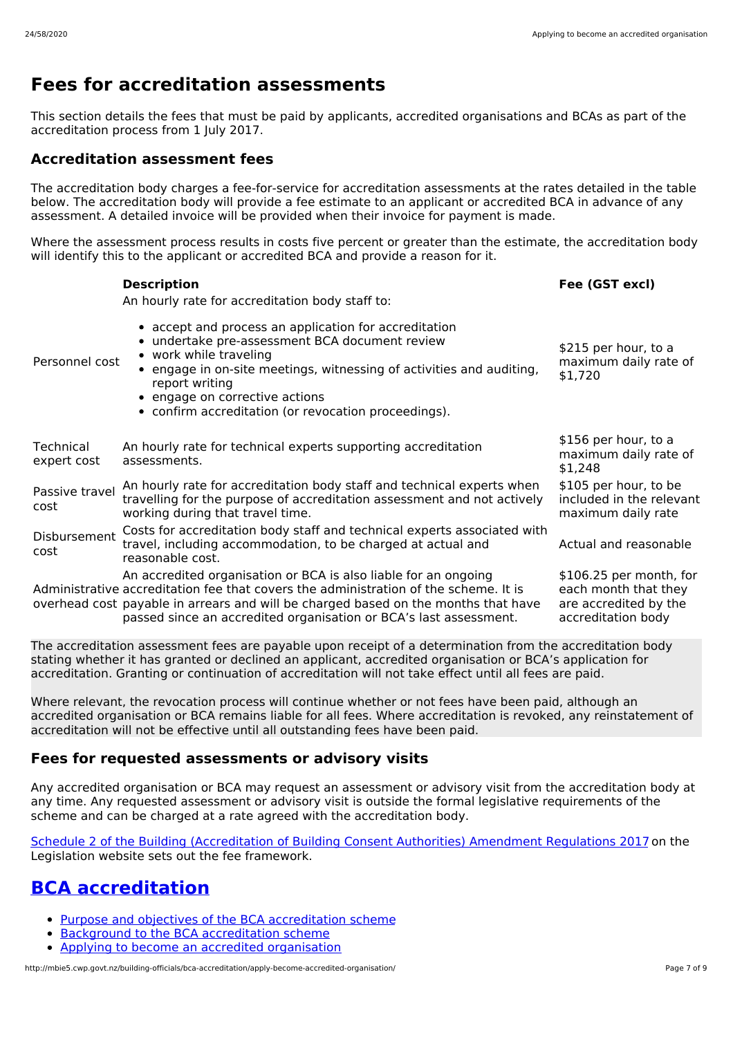# **Fees for accreditation assessments**

This section details the fees that must be paid by applicants, accredited organisations and BCAs as part of the accreditation process from 1 July 2017.

### **Accreditation assessment fees**

The accreditation body charges a fee-for-service for accreditation assessments at the rates detailed in the table below. The accreditation body will provide a fee estimate to an applicant or accredited BCA in advance of any assessment. A detailed invoice will be provided when their invoice for payment is made.

Where the assessment process results in costs five percent or greater than the estimate, the accreditation body will identify this to the applicant or accredited BCA and provide a reason for it.

|                          | <b>Description</b><br>An hourly rate for accreditation body staff to:                                                                                                                                                                                                                                                 | Fee (GST excl)                                                                                 |
|--------------------------|-----------------------------------------------------------------------------------------------------------------------------------------------------------------------------------------------------------------------------------------------------------------------------------------------------------------------|------------------------------------------------------------------------------------------------|
| Personnel cost           | • accept and process an application for accreditation<br>• undertake pre-assessment BCA document review<br>• work while traveling<br>• engage in on-site meetings, witnessing of activities and auditing,<br>report writing<br>• engage on corrective actions<br>• confirm accreditation (or revocation proceedings). | \$215 per hour, to a<br>maximum daily rate of<br>\$1,720                                       |
| Technical<br>expert cost | An hourly rate for technical experts supporting accreditation<br>assessments.                                                                                                                                                                                                                                         | \$156 per hour, to a<br>maximum daily rate of<br>\$1,248                                       |
| Passive travel<br>cost   | An hourly rate for accreditation body staff and technical experts when<br>travelling for the purpose of accreditation assessment and not actively<br>working during that travel time.                                                                                                                                 | \$105 per hour, to be<br>included in the relevant<br>maximum daily rate                        |
| Disbursement<br>cost     | Costs for accreditation body staff and technical experts associated with<br>travel, including accommodation, to be charged at actual and<br>reasonable cost.                                                                                                                                                          | Actual and reasonable                                                                          |
|                          | An accredited organisation or BCA is also liable for an ongoing<br>Administrative accreditation fee that covers the administration of the scheme. It is<br>overhead cost payable in arrears and will be charged based on the months that have<br>passed since an accredited organisation or BCA's last assessment.    | \$106.25 per month, for<br>each month that they<br>are accredited by the<br>accreditation body |

The accreditation assessment fees are payable upon receipt of a determination from the accreditation body stating whether it has granted or declined an applicant, accredited organisation or BCA's application for accreditation. Granting or continuation of accreditation will not take effect until all fees are paid.

Where relevant, the revocation process will continue whether or not fees have been paid, although an accredited organisation or BCA remains liable for all fees. Where accreditation is revoked, any reinstatement of accreditation will not be effective until all outstanding fees have been paid.

### **Fees for requested assessments or advisory visits**

Any accredited organisation or BCA may request an assessment or advisory visit from the accreditation body at any time. Any requested assessment or advisory visit is outside the formal legislative requirements of the scheme and can be charged at a rate agreed with the accreditation body.

Schedule 2 of the Building [\(Accreditation](http://www.legislation.govt.nz/regulation/public/2017/0014/latest/DLM7049142.html?search=ad_act%2540regulation__building____25_ac%2540bn%2540rc%2540dn%2540apub%2540aloc%2540apri%2540apro%2540aimp%2540bgov%2540bloc%2540bpri%2540bmem%2540rpub%2540rimp_ac%2540rc%2540ainf%2540anif%2540bcur%2540rinf%2540rnif_a_aw_se&p=1) of Building Consent Authorities) Amendment Regulations 2017 on the Legislation website sets out the fee framework.

# **BCA [accreditation](http://mbie5.cwp.govt.nz/building-officials/bca-accreditation/)**

- Purpose and objectives of the BCA [accreditation](http://mbie5.cwp.govt.nz/building-officials/bca-accreditation/purpose-objectives-bca-accreditation/) scheme
- Background to the BCA [accreditation](http://mbie5.cwp.govt.nz/building-officials/bca-accreditation/background-bca-accreditation/) scheme
- Applying to become an accredited [organisation](http://mbie5.cwp.govt.nz/building-officials/bca-accreditation/apply-become-accredited-organisation/)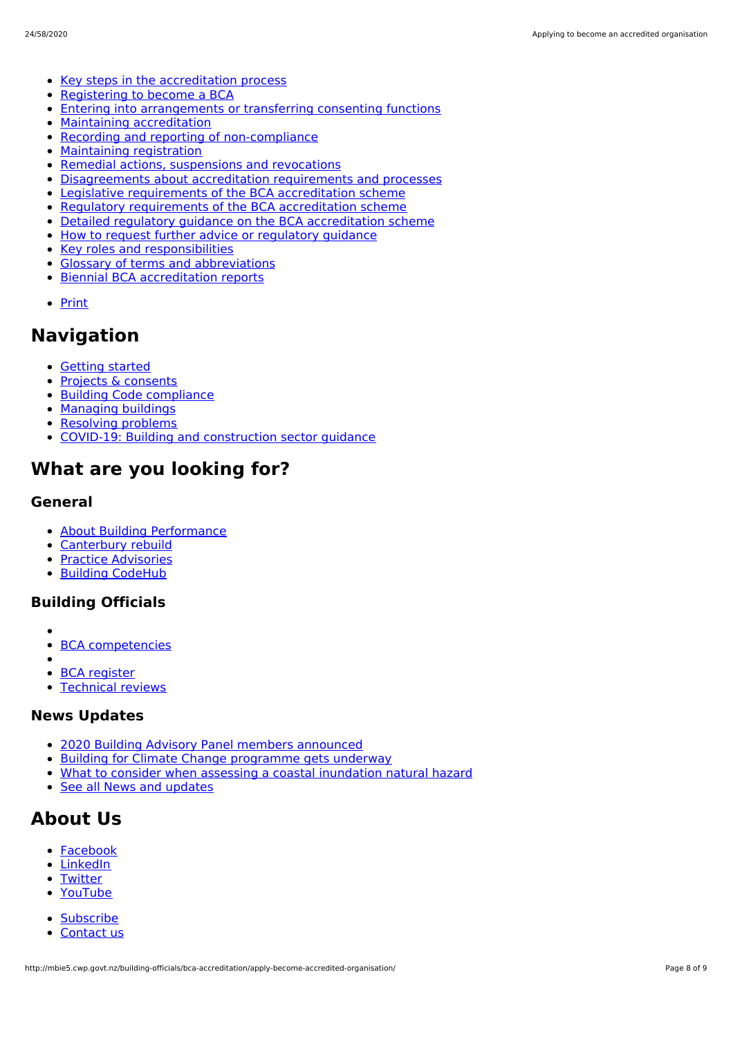- Key steps in the [accreditation](http://mbie5.cwp.govt.nz/building-officials/bca-accreditation/key-steps-accreditation-process/) process
- [Registering](http://mbie5.cwp.govt.nz/building-officials/bca-accreditation/registering-become-bca/) to become a BCA  $\bullet$
- Entering into [arrangements](http://mbie5.cwp.govt.nz/building-officials/bca-accreditation/entering-arrangements-or-transferring-consenting-functions/) or transferring consenting functions  $\bullet$
- Maintaining [accreditation](http://mbie5.cwp.govt.nz/building-officials/bca-accreditation/maintaining-accreditation/)  $\bullet$
- Recording and reporting of [non-compliance](http://mbie5.cwp.govt.nz/building-officials/bca-accreditation/recording-reporting-non-compliance/)  $\bullet$
- [Maintaining](http://mbie5.cwp.govt.nz/building-officials/bca-accreditation/maintaining-registration/) registration  $\bullet$
- Remedial actions, [suspensions](http://mbie5.cwp.govt.nz/building-officials/bca-accreditation/remedial-actions-suspensions-revocations/) and revocations  $\bullet$
- [Disagreements](http://mbie5.cwp.govt.nz/building-officials/bca-accreditation/disagreements-about-accreditation-requirements-and-processes/) about accreditation requirements and processes  $\bullet$
- Legislative [requirements](http://mbie5.cwp.govt.nz/building-officials/bca-accreditation/legislative-requirements-bca-accreditation-scheme/) of the BCA accreditation scheme  $\bullet$
- Regulatory [requirements](http://mbie5.cwp.govt.nz/building-officials/bca-accreditation/regulatory-requirements-bca-accreditation-scheme/) of the BCA accreditation scheme  $\bullet$
- Detailed regulatory guidance on the BCA [accreditation](http://mbie5.cwp.govt.nz/building-officials/bca-accreditation/detailed-regulatory-guidance/) scheme  $\bullet$
- How to request further advice or [regulatory](http://mbie5.cwp.govt.nz/building-officials/bca-accreditation/request-further-advice-or-regulatory-guidance/) guidance  $\bullet$
- Key roles and [responsibilities](http://mbie5.cwp.govt.nz/building-officials/bca-accreditation/key-roles-and-responsibilities/)  $\bullet$
- Glossary of terms and [abbreviations](http://mbie5.cwp.govt.nz/building-officials/bca-accreditation/terms-and-abbreviations/)  $\bullet$
- Biennial BCA [accreditation](http://mbie5.cwp.govt.nz/building-officials/bca-accreditation/biennial-bca-accreditation-reports/) reports
- [Print](http://mbie5.cwp.govt.nz/#)

## **Navigation**

- [Getting](http://mbie5.cwp.govt.nz/getting-started/) started
- Projects & [consents](http://mbie5.cwp.govt.nz/projects-and-consents/)
- Building Code [compliance](http://mbie5.cwp.govt.nz/building-code-compliance/)
- [Managing](http://mbie5.cwp.govt.nz/managing-buildings/) buildings
- [Resolving](http://mbie5.cwp.govt.nz/resolving-problems/) problems
- COVID-19: Building and [construction](http://mbie5.cwp.govt.nz/covid-19/) sector quidance

# **What are you looking for?**

### **General**

- About Building [Performance](http://mbie5.cwp.govt.nz/about-building-performance/)  $\bullet$
- $\bullet$ [Canterbury](http://mbie5.cwp.govt.nz/building-code-compliance/canterbury-rebuild/) rebuild
- Practice [Advisories](http://mbie5.cwp.govt.nz/search/?keyword=practice+advisory&search=)  $\bullet$
- Building [CodeHub](https://codehub.building.govt.nz)

## **Building Officials**

- 
- BCA [competencies](http://mbie5.cwp.govt.nz/building-officials/national-bca-competency-assessment-system/)
- $\bullet$ BCA [register](http://mbie5.cwp.govt.nz/building-officials/find-a-bca/)
- [Technical](http://mbie5.cwp.govt.nz/building-officials/technical-reviews/) reviews

## **News Updates**

- 2020 Building Advisory Panel members [announced](http://mbie5.cwp.govt.nz/about-building-performance/news-and-updates/all-news-and-updates/2020-building-advisory-panel-members-announced/)
- Building for Climate Change [programme](http://mbie5.cwp.govt.nz/about-building-performance/news-and-updates/all-news-and-updates/building-for-climate-change-programme-gets-underway/) gets underway
- What to consider when assessing a coastal [inundation](http://mbie5.cwp.govt.nz/about-building-performance/news-and-updates/codewords/codewords-issue-95/determination/) natural hazard
- See all News and [updates](http://mbie5.cwp.govt.nz/about-building-performance/news-and-updates/all-news-and-updates/)

# **About Us**

- [Facebook](https://www.facebook.com/MBIEgovtNZ)
- [LinkedIn](https://www.linkedin.com/company/ministry-of-business-innovation-and-employment)
- **[Twitter](https://twitter.com/mbiegovtnz)**
- [YouTube](https://www.youtube.com/user/dbhnewzealand)
- **[Subscribe](https://confirmsubscription.com/h/r/7BC65D75D18899C62540EF23F30FEDED)**  $\bullet$
- [Contact](http://mbie5.cwp.govt.nz/about-building-performance/contact-us/) us  $\bullet$